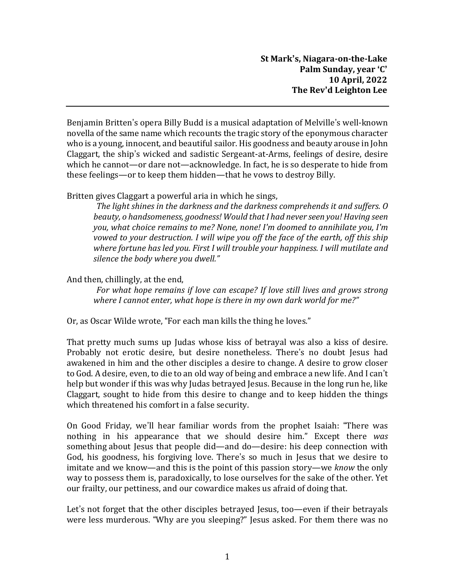Benjamin Britten's opera Billy Budd is a musical adaptation of Melville's well-known novella of the same name which recounts the tragic story of the eponymous character who is a young, innocent, and beautiful sailor. His goodness and beauty arouse in John Claggart, the ship's wicked and sadistic Sergeant-at-Arms, feelings of desire, desire which he cannot—or dare not—acknowledge. In fact, he is so desperate to hide from these feelings—or to keep them hidden—that he vows to destroy Billy.

Britten gives Claggart a powerful aria in which he sings,

*The light shines in the darkness and the darkness comprehends it and suffers. O beauty, o handsomeness, goodness! Would that I had never seen you! Having seen you, what choice remains to me? None, none! I'm doomed to annihilate you, I'm vowed to your destruction. I will wipe you off the face of the earth, off this ship where fortune has led you. First I will trouble your happiness. I will mutilate and silence the body where you dwell."*

And then, chillingly, at the end,

*For what hope remains if love can escape? If love still lives and grows strong where I cannot enter, what hope is there in my own dark world for me?"*

Or, as Oscar Wilde wrote, "For each man kills the thing he loves."

That pretty much sums up Judas whose kiss of betrayal was also a kiss of desire. Probably not erotic desire, but desire nonetheless. There's no doubt Jesus had awakened in him and the other disciples a desire to change. A desire to grow closer to God. A desire, even, to die to an old way of being and embrace a new life. And I can't help but wonder if this was why Judas betrayed Jesus. Because in the long run he, like Claggart, sought to hide from this desire to change and to keep hidden the things which threatened his comfort in a false security.

On Good Friday, we'll hear familiar words from the prophet Isaiah: "There was nothing in his appearance that we should desire him." Except there *was* something about Jesus that people did—and do—desire: his deep connection with God, his goodness, his forgiving love. There's so much in Jesus that we desire to imitate and we know—and this is the point of this passion story—we *know* the only way to possess them is, paradoxically, to lose ourselves for the sake of the other. Yet our frailty, our pettiness, and our cowardice makes us afraid of doing that.

Let's not forget that the other disciples betrayed Jesus, too—even if their betrayals were less murderous. "Why are you sleeping?" Jesus asked. For them there was no